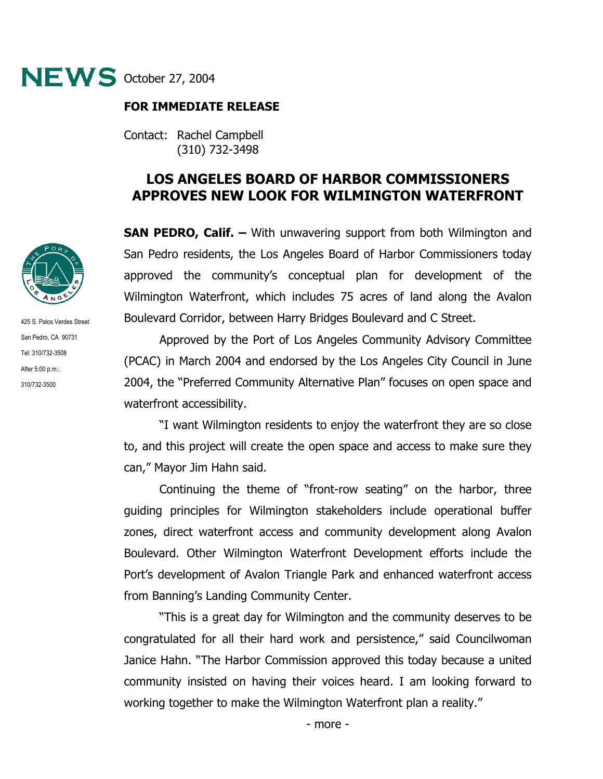

## **FOR IMMEDIATE RELEASE**

Contact: Rachel Campbell (310) 732-3498

## **LOS ANGELES BOARD OF HARBOR COMMISSIONERS APPROVES NEW LOOK FOR WILMINGTON WATERFRONT**

**SAN PEDRO, Calif. –** With unwavering support from both Wilmington and San Pedro residents, the Los Angeles Board of Harbor Commissioners today approved the community's conceptual plan for development of the Wilmington Waterfront, which includes 75 acres of land along the Avalon Boulevard Corridor, between Harry Bridges Boulevard and C Street.

Approved by the Port of Los Angeles Community Advisory Committee (PCAC) in March 2004 and endorsed by the Los Angeles City Council in June 2004, the "Preferred Community Alternative Plan" focuses on open space and waterfront accessibility.

"I want Wilmington residents to enjoy the waterfront they are so close to, and this project will create the open space and access to make sure they can," Mayor Jim Hahn said.

Continuing the theme of "front-row seating" on the harbor, three guiding principles for Wilmington stakeholders include operational buffer zones, direct waterfront access and community development along Avalon Boulevard. Other Wilmington Waterfront Development efforts include the Port's development of Avalon Triangle Park and enhanced waterfront access from Banning's Landing Community Center.

"This is a great day for Wilmington and the community deserves to be congratulated for all their hard work and persistence," said Councilwoman Janice Hahn. "The Harbor Commission approved this today because a united community insisted on having their voices heard. I am looking forward to working together to make the Wilmington Waterfront plan a reality."



425 S. Palos Verdes Street San Pedro, CA 90731 Tel: 310/732-3508 After 5:00 p.m.: 310/732-3500